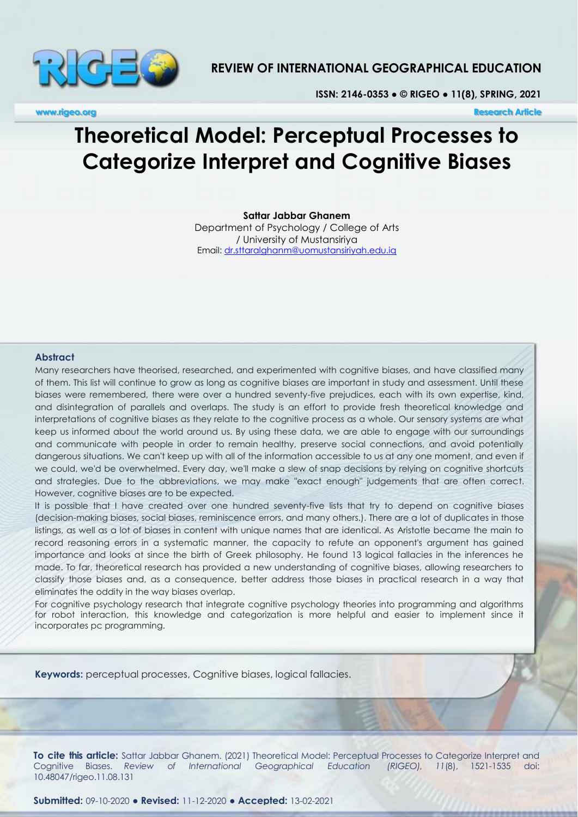

# **REVIEW OF INTERNATIONAL GEOGRAPHICAL EDUCATION**

**ISSN: 2146-0353 ● © RIGEO ● 11(8), SPRING, 2021**

**www.rigeo.org Research Article** 

# **Theoretical Model: Perceptual Processes to Categorize Interpret and Cognitive Biases**

**Sattar Jabbar Ghanem**

Department of Psychology / College of Arts / University of Mustansiriya Email:<dr.sttaralghanm@uomustansiriyah.edu.iq>

#### **Abstract**

Many researchers have theorised, researched, and experimented with cognitive biases, and have classified many of them. This list will continue to grow as long as cognitive biases are important in study and assessment. Until these biases were remembered, there were over a hundred seventy-five prejudices, each with its own expertise, kind, and disintegration of parallels and overlaps. The study is an effort to provide fresh theoretical knowledge and interpretations of cognitive biases as they relate to the cognitive process as a whole. Our sensory systems are what keep us informed about the world around us. By using these data, we are able to engage with our surroundings and communicate with people in order to remain healthy, preserve social connections, and avoid potentially dangerous situations. We can't keep up with all of the information accessible to us at any one moment, and even if we could, we'd be overwhelmed. Every day, we'll make a slew of snap decisions by relying on cognitive shortcuts and strategies. Due to the abbreviations, we may make "exact enough" judgements that are often correct. However, cognitive biases are to be expected.

It is possible that I have created over one hundred seventy-five lists that try to depend on cognitive biases (decision-making biases, social biases, reminiscence errors, and many others.). There are a lot of duplicates in those listings, as well as a lot of biases in content with unique names that are identical. As Aristotle became the main to record reasoning errors in a systematic manner, the capacity to refute an opponent's argument has gained importance and looks at since the birth of Greek philosophy. He found 13 logical fallacies in the inferences he made. To far, theoretical research has provided a new understanding of cognitive biases, allowing researchers to classify those biases and, as a consequence, better address those biases in practical research in a way that eliminates the oddity in the way biases overlap.

For cognitive psychology research that integrate cognitive psychology theories into programming and algorithms for robot interaction, this knowledge and categorization is more helpful and easier to implement since it incorporates pc programming.

**Keywords:** perceptual processes, Cognitive biases, logical fallacies.

**To cite this article:** Sattar Jabbar Ghanem. (2021) Theoretical Model: Perceptual Processes to Categorize Interpret and Cognitive Biases. *Review of International Geographical Education (RIGEO), 11*(8), 1521-1535 doi: 10.48047/rigeo.11.08.131

**Submitted:** 09-10-2020 **● Revised:** 11-12-2020 **● Accepted:** 13-02-2021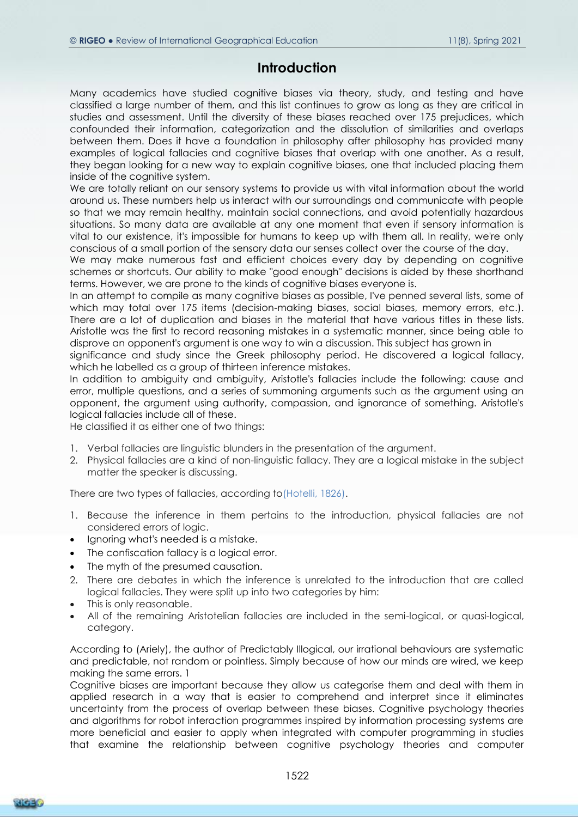# **Introduction**

Many academics have studied cognitive biases via theory, study, and testing and have classified a large number of them, and this list continues to grow as long as they are critical in studies and assessment. Until the diversity of these biases reached over 175 prejudices, which confounded their information, categorization and the dissolution of similarities and overlaps between them. Does it have a foundation in philosophy after philosophy has provided many examples of logical fallacies and cognitive biases that overlap with one another. As a result, they began looking for a new way to explain cognitive biases, one that included placing them inside of the cognitive system.

We are totally reliant on our sensory systems to provide us with vital information about the world around us. These numbers help us interact with our surroundings and communicate with people so that we may remain healthy, maintain social connections, and avoid potentially hazardous situations. So many data are available at any one moment that even if sensory information is vital to our existence, it's impossible for humans to keep up with them all. In reality, we're only conscious of a small portion of the sensory data our senses collect over the course of the day.

We may make numerous fast and efficient choices every day by depending on cognitive schemes or shortcuts. Our ability to make "good enough" decisions is aided by these shorthand terms. However, we are prone to the kinds of cognitive biases everyone is.

In an attempt to compile as many cognitive biases as possible, I've penned several lists, some of which may total over 175 items (decision-making biases, social biases, memory errors, etc.). There are a lot of duplication and biases in the material that have various titles in these lists. Aristotle was the first to record reasoning mistakes in a systematic manner, since being able to disprove an opponent's argument is one way to win a discussion. This subject has grown in

significance and study since the Greek philosophy period. He discovered a logical fallacy, which he labelled as a group of thirteen inference mistakes.

In addition to ambiguity and ambiguity, Aristotle's fallacies include the following: cause and error, multiple questions, and a series of summoning arguments such as the argument using an opponent, the argument using authority, compassion, and ignorance of something. Aristotle's logical fallacies include all of these.

He classified it as either one of two things:

- 1. Verbal fallacies are linguistic blunders in the presentation of the argument.
- 2. Physical fallacies are a kind of non-linguistic fallacy. They are a logical mistake in the subject matter the speaker is discussing.

There are two types of fallacies, according to(Hotelli, 1826).

- 1. Because the inference in them pertains to the introduction, physical fallacies are not considered errors of logic.
- Ignoring what's needed is a mistake.
- The confiscation fallacy is a logical error.
- The myth of the presumed causation.
- 2. There are debates in which the inference is unrelated to the introduction that are called logical fallacies. They were split up into two categories by him:
- This is only reasonable.
- All of the remaining Aristotelian fallacies are included in the semi-logical, or quasi-logical, category.

According to (Ariely), the author of Predictably Illogical, our irrational behaviours are systematic and predictable, not random or pointless. Simply because of how our minds are wired, we keep making the same errors. 1

Cognitive biases are important because they allow us categorise them and deal with them in applied research in a way that is easier to comprehend and interpret since it eliminates uncertainty from the process of overlap between these biases. Cognitive psychology theories and algorithms for robot interaction programmes inspired by information processing systems are more beneficial and easier to apply when integrated with computer programming in studies that examine the relationship between cognitive psychology theories and computer

RICER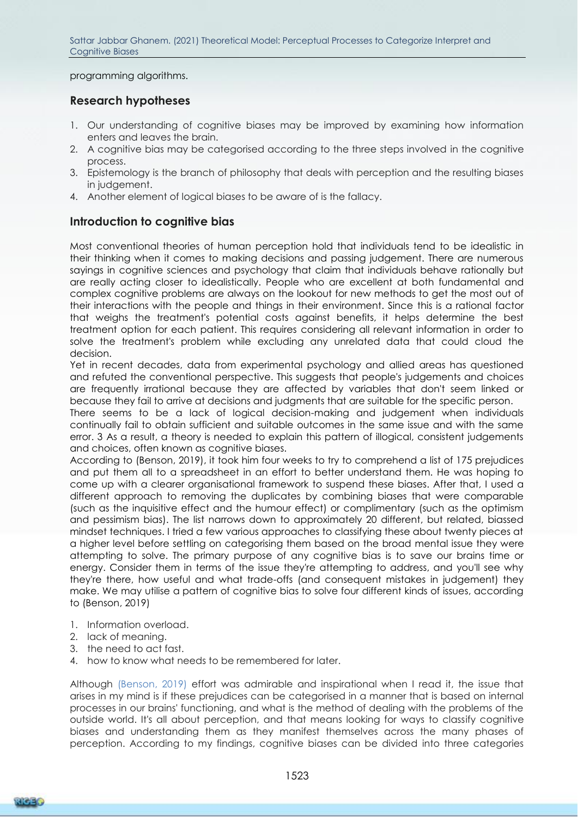programming algorithms.

## **Research hypotheses**

- 1. Our understanding of cognitive biases may be improved by examining how information enters and leaves the brain.
- 2. A cognitive bias may be categorised according to the three steps involved in the cognitive process.
- 3. Epistemology is the branch of philosophy that deals with perception and the resulting biases in judgement.
- 4. Another element of logical biases to be aware of is the fallacy.

## **Introduction to cognitive bias**

Most conventional theories of human perception hold that individuals tend to be idealistic in their thinking when it comes to making decisions and passing judgement. There are numerous sayings in cognitive sciences and psychology that claim that individuals behave rationally but are really acting closer to idealistically. People who are excellent at both fundamental and complex cognitive problems are always on the lookout for new methods to get the most out of their interactions with the people and things in their environment. Since this is a rational factor that weighs the treatment's potential costs against benefits, it helps determine the best treatment option for each patient. This requires considering all relevant information in order to solve the treatment's problem while excluding any unrelated data that could cloud the decision.

Yet in recent decades, data from experimental psychology and allied areas has questioned and refuted the conventional perspective. This suggests that people's judgements and choices are frequently irrational because they are affected by variables that don't seem linked or because they fail to arrive at decisions and judgments that are suitable for the specific person.

There seems to be a lack of logical decision-making and judgement when individuals continually fail to obtain sufficient and suitable outcomes in the same issue and with the same error. 3 As a result, a theory is needed to explain this pattern of illogical, consistent judgements and choices, often known as cognitive biases.

According to (Benson, 2019), it took him four weeks to try to comprehend a list of 175 prejudices and put them all to a spreadsheet in an effort to better understand them. He was hoping to come up with a clearer organisational framework to suspend these biases. After that, I used a different approach to removing the duplicates by combining biases that were comparable (such as the inquisitive effect and the humour effect) or complimentary (such as the optimism and pessimism bias). The list narrows down to approximately 20 different, but related, biassed mindset techniques. I tried a few various approaches to classifying these about twenty pieces at a higher level before settling on categorising them based on the broad mental issue they were attempting to solve. The primary purpose of any cognitive bias is to save our brains time or energy. Consider them in terms of the issue they're attempting to address, and you'll see why they're there, how useful and what trade-offs (and consequent mistakes in judgement) they make. We may utilise a pattern of cognitive bias to solve four different kinds of issues, according to (Benson, 2019)

- 1. Information overload.
- 2. lack of meaning.
- 3. the need to act fast.
- 4. how to know what needs to be remembered for later.

Although (Benson, 2019) effort was admirable and inspirational when I read it, the issue that arises in my mind is if these prejudices can be categorised in a manner that is based on internal processes in our brains' functioning, and what is the method of dealing with the problems of the outside world. It's all about perception, and that means looking for ways to classify cognitive biases and understanding them as they manifest themselves across the many phases of perception. According to my findings, cognitive biases can be divided into three categories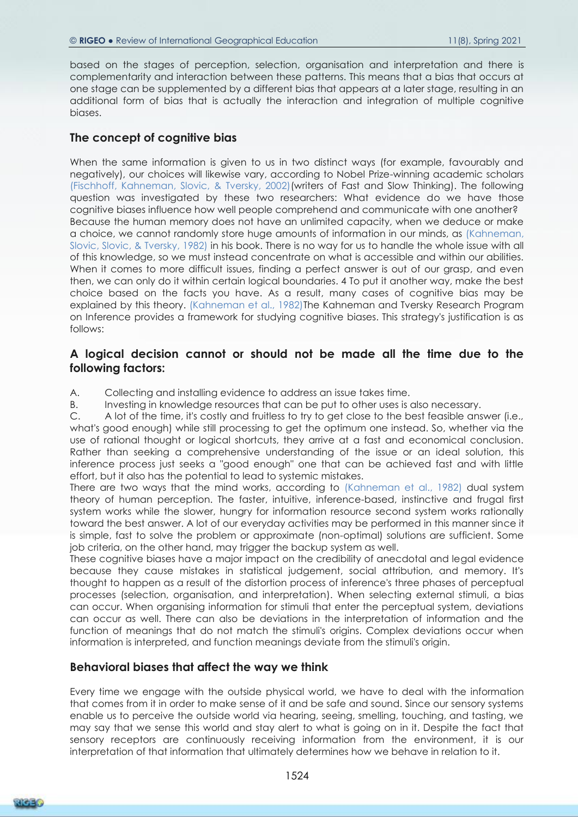based on the stages of perception, selection, organisation and interpretation and there is complementarity and interaction between these patterns. This means that a bias that occurs at one stage can be supplemented by a different bias that appears at a later stage, resulting in an additional form of bias that is actually the interaction and integration of multiple cognitive biases.

#### **The concept of cognitive bias**

When the same information is given to us in two distinct ways (for example, favourably and negatively), our choices will likewise vary, according to Nobel Prize-winning academic scholars (Fischhoff, Kahneman, Slovic, & Tversky, 2002)(writers of Fast and Slow Thinking). The following question was investigated by these two researchers: What evidence do we have those cognitive biases influence how well people comprehend and communicate with one another? Because the human memory does not have an unlimited capacity, when we deduce or make a choice, we cannot randomly store huge amounts of information in our minds, as (Kahneman, Slovic, Slovic, & Tversky, 1982) in his book. There is no way for us to handle the whole issue with all of this knowledge, so we must instead concentrate on what is accessible and within our abilities. When it comes to more difficult issues, finding a perfect answer is out of our grasp, and even then, we can only do it within certain logical boundaries. 4 To put it another way, make the best choice based on the facts you have. As a result, many cases of cognitive bias may be explained by this theory. (Kahneman et al., 1982)The Kahneman and Tversky Research Program on Inference provides a framework for studying cognitive biases. This strategy's justification is as follows:

#### **A logical decision cannot or should not be made all the time due to the following factors:**

A. Collecting and installing evidence to address an issue takes time.

B. Investing in knowledge resources that can be put to other uses is also necessary.

C. A lot of the time, it's costly and fruitless to try to get close to the best feasible answer (i.e., what's good enough) while still processing to get the optimum one instead. So, whether via the use of rational thought or logical shortcuts, they arrive at a fast and economical conclusion. Rather than seeking a comprehensive understanding of the issue or an ideal solution, this inference process just seeks a "good enough" one that can be achieved fast and with little effort, but it also has the potential to lead to systemic mistakes.

There are two ways that the mind works, according to (Kahneman et al., 1982) dual system theory of human perception. The faster, intuitive, inference-based, instinctive and frugal first system works while the slower, hungry for information resource second system works rationally toward the best answer. A lot of our everyday activities may be performed in this manner since it is simple, fast to solve the problem or approximate (non-optimal) solutions are sufficient. Some job criteria, on the other hand, may trigger the backup system as well.

These cognitive biases have a major impact on the credibility of anecdotal and legal evidence because they cause mistakes in statistical judgement, social attribution, and memory. It's thought to happen as a result of the distortion process of inference's three phases of perceptual processes (selection, organisation, and interpretation). When selecting external stimuli, a bias can occur. When organising information for stimuli that enter the perceptual system, deviations can occur as well. There can also be deviations in the interpretation of information and the function of meanings that do not match the stimuli's origins. Complex deviations occur when information is interpreted, and function meanings deviate from the stimuli's origin.

#### **Behavioral biases that affect the way we think**

Every time we engage with the outside physical world, we have to deal with the information that comes from it in order to make sense of it and be safe and sound. Since our sensory systems enable us to perceive the outside world via hearing, seeing, smelling, touching, and tasting, we may say that we sense this world and stay alert to what is going on in it. Despite the fact that sensory receptors are continuously receiving information from the environment, it is our interpretation of that information that ultimately determines how we behave in relation to it.

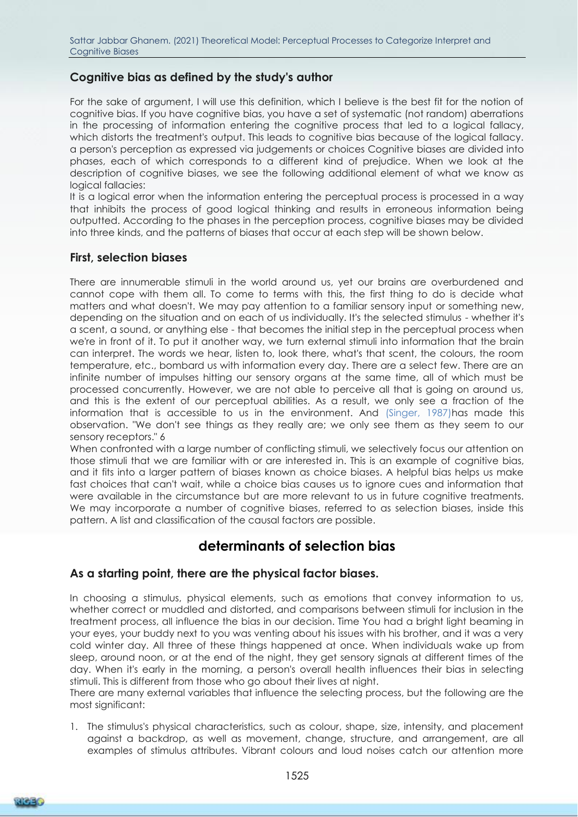## **Cognitive bias as defined by the study's author**

For the sake of argument, I will use this definition, which I believe is the best fit for the notion of cognitive bias. If you have cognitive bias, you have a set of systematic (not random) aberrations in the processing of information entering the cognitive process that led to a logical fallacy, which distorts the treatment's output. This leads to cognitive bias because of the logical fallacy. a person's perception as expressed via judgements or choices Cognitive biases are divided into phases, each of which corresponds to a different kind of prejudice. When we look at the description of cognitive biases, we see the following additional element of what we know as logical fallacies:

It is a logical error when the information entering the perceptual process is processed in a way that inhibits the process of good logical thinking and results in erroneous information being outputted. According to the phases in the perception process, cognitive biases may be divided into three kinds, and the patterns of biases that occur at each step will be shown below.

#### **First, selection biases**

There are innumerable stimuli in the world around us, yet our brains are overburdened and cannot cope with them all. To come to terms with this, the first thing to do is decide what matters and what doesn't. We may pay attention to a familiar sensory input or something new, depending on the situation and on each of us individually. It's the selected stimulus - whether it's a scent, a sound, or anything else - that becomes the initial step in the perceptual process when we're in front of it. To put it another way, we turn external stimuli into information that the brain can interpret. The words we hear, listen to, look there, what's that scent, the colours, the room temperature, etc., bombard us with information every day. There are a select few. There are an infinite number of impulses hitting our sensory organs at the same time, all of which must be processed concurrently. However, we are not able to perceive all that is going on around us, and this is the extent of our perceptual abilities. As a result, we only see a fraction of the information that is accessible to us in the environment. And (Singer, 1987)has made this observation. "We don't see things as they really are; we only see them as they seem to our sensory receptors." 6

When confronted with a large number of conflicting stimuli, we selectively focus our attention on those stimuli that we are familiar with or are interested in. This is an example of cognitive bias, and it fits into a larger pattern of biases known as choice biases. A helpful bias helps us make fast choices that can't wait, while a choice bias causes us to ignore cues and information that were available in the circumstance but are more relevant to us in future cognitive treatments. We may incorporate a number of cognitive biases, referred to as selection biases, inside this pattern. A list and classification of the causal factors are possible.

# **determinants of selection bias**

# **As a starting point, there are the physical factor biases.**

In choosing a stimulus, physical elements, such as emotions that convey information to us, whether correct or muddled and distorted, and comparisons between stimuli for inclusion in the treatment process, all influence the bias in our decision. Time You had a bright light beaming in your eyes, your buddy next to you was venting about his issues with his brother, and it was a very cold winter day. All three of these things happened at once. When individuals wake up from sleep, around noon, or at the end of the night, they get sensory signals at different times of the day. When it's early in the morning, a person's overall health influences their bias in selecting stimuli. This is different from those who go about their lives at night.

There are many external variables that influence the selecting process, but the following are the most significant:

1. The stimulus's physical characteristics, such as colour, shape, size, intensity, and placement against a backdrop, as well as movement, change, structure, and arrangement, are all examples of stimulus attributes. Vibrant colours and loud noises catch our attention more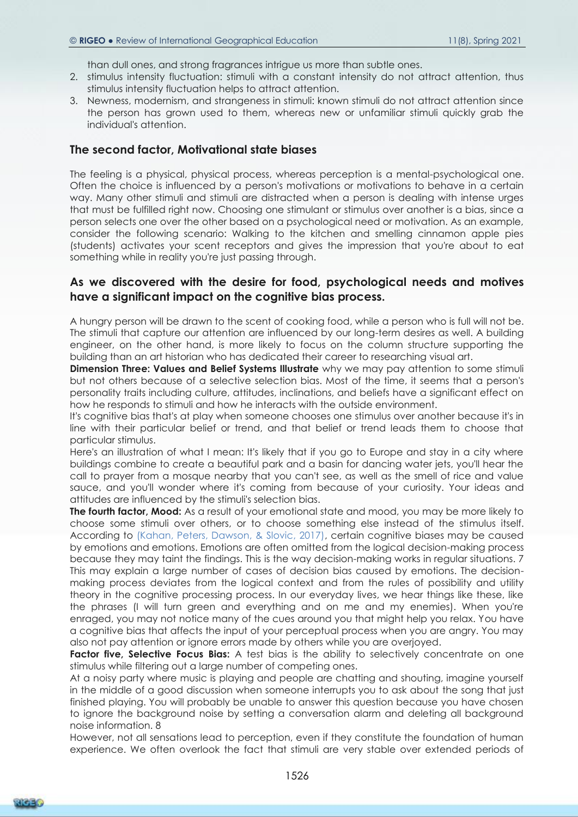than dull ones, and strong fragrances intrigue us more than subtle ones.

- 2. stimulus intensity fluctuation: stimuli with a constant intensity do not attract attention, thus stimulus intensity fluctuation helps to attract attention.
- 3. Newness, modernism, and strangeness in stimuli: known stimuli do not attract attention since the person has grown used to them, whereas new or unfamiliar stimuli quickly grab the individual's attention.

#### **The second factor, Motivational state biases**

The feeling is a physical, physical process, whereas perception is a mental-psychological one. Often the choice is influenced by a person's motivations or motivations to behave in a certain way. Many other stimuli and stimuli are distracted when a person is dealing with intense urges that must be fulfilled right now. Choosing one stimulant or stimulus over another is a bias, since a person selects one over the other based on a psychological need or motivation. As an example, consider the following scenario: Walking to the kitchen and smelling cinnamon apple pies (students) activates your scent receptors and gives the impression that you're about to eat something while in reality you're just passing through.

#### **As we discovered with the desire for food, psychological needs and motives have a significant impact on the cognitive bias process.**

A hungry person will be drawn to the scent of cooking food, while a person who is full will not be. The stimuli that capture our attention are influenced by our long-term desires as well. A building engineer, on the other hand, is more likely to focus on the column structure supporting the building than an art historian who has dedicated their career to researching visual art.

**Dimension Three: Values and Belief Systems Illustrate** why we may pay attention to some stimuli but not others because of a selective selection bias. Most of the time, it seems that a person's personality traits including culture, attitudes, inclinations, and beliefs have a significant effect on how he responds to stimuli and how he interacts with the outside environment.

It's cognitive bias that's at play when someone chooses one stimulus over another because it's in line with their particular belief or trend, and that belief or trend leads them to choose that particular stimulus.

Here's an illustration of what I mean: It's likely that if you go to Europe and stay in a city where buildings combine to create a beautiful park and a basin for dancing water jets, you'll hear the call to prayer from a mosque nearby that you can't see, as well as the smell of rice and value sauce, and you'll wonder where it's coming from because of your curiosity. Your ideas and attitudes are influenced by the stimuli's selection bias.

**The fourth factor, Mood:** As a result of your emotional state and mood, you may be more likely to choose some stimuli over others, or to choose something else instead of the stimulus itself. According to (Kahan, Peters, Dawson, & Slovic, 2017), certain cognitive biases may be caused by emotions and emotions. Emotions are often omitted from the logical decision-making process because they may taint the findings. This is the way decision-making works in regular situations. 7 This may explain a large number of cases of decision bias caused by emotions. The decisionmaking process deviates from the logical context and from the rules of possibility and utility theory in the cognitive processing process. In our everyday lives, we hear things like these, like the phrases (I will turn green and everything and on me and my enemies). When you're enraged, you may not notice many of the cues around you that might help you relax. You have a cognitive bias that affects the input of your perceptual process when you are angry. You may also not pay attention or ignore errors made by others while you are overjoyed.

**Factor five, Selective Focus Bias:** A test bias is the ability to selectively concentrate on one stimulus while filtering out a large number of competing ones.

At a noisy party where music is playing and people are chatting and shouting, imagine yourself in the middle of a good discussion when someone interrupts you to ask about the song that just finished playing. You will probably be unable to answer this question because you have chosen to ignore the background noise by setting a conversation alarm and deleting all background noise information. 8

However, not all sensations lead to perception, even if they constitute the foundation of human experience. We often overlook the fact that stimuli are very stable over extended periods of

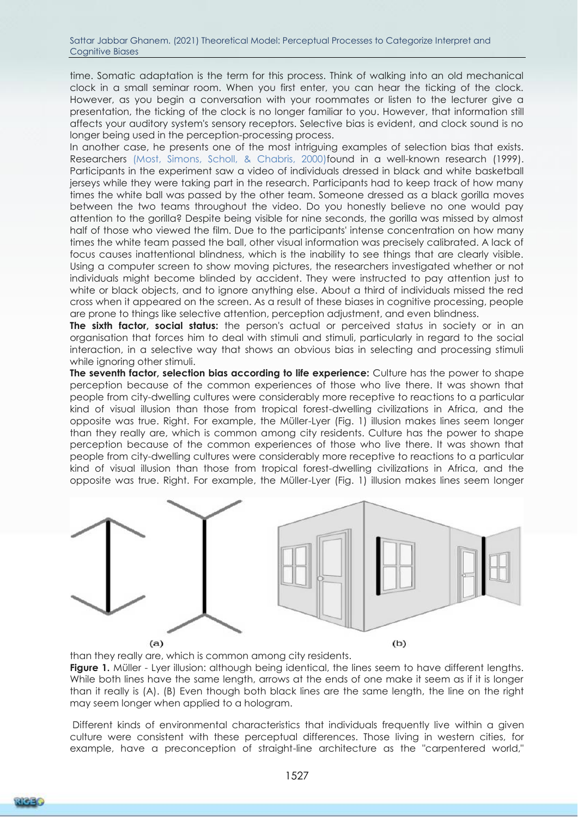time. Somatic adaptation is the term for this process. Think of walking into an old mechanical clock in a small seminar room. When you first enter, you can hear the ticking of the clock. However, as you begin a conversation with your roommates or listen to the lecturer give a presentation, the ticking of the clock is no longer familiar to you. However, that information still affects your auditory system's sensory receptors. Selective bias is evident, and clock sound is no longer being used in the perception-processing process.

In another case, he presents one of the most intriguing examples of selection bias that exists. Researchers (Most, Simons, Scholl, & Chabris, 2000)found in a well-known research (1999). Participants in the experiment saw a video of individuals dressed in black and white basketball jerseys while they were taking part in the research. Participants had to keep track of how many times the white ball was passed by the other team. Someone dressed as a black gorilla moves between the two teams throughout the video. Do you honestly believe no one would pay attention to the gorilla? Despite being visible for nine seconds, the gorilla was missed by almost half of those who viewed the film. Due to the participants' intense concentration on how many times the white team passed the ball, other visual information was precisely calibrated. A lack of focus causes inattentional blindness, which is the inability to see things that are clearly visible. Using a computer screen to show moving pictures, the researchers investigated whether or not individuals might become blinded by accident. They were instructed to pay attention just to white or black objects, and to ignore anything else. About a third of individuals missed the red cross when it appeared on the screen. As a result of these biases in cognitive processing, people are prone to things like selective attention, perception adjustment, and even blindness.

**The sixth factor, social status:** the person's actual or perceived status in society or in an organisation that forces him to deal with stimuli and stimuli, particularly in regard to the social interaction, in a selective way that shows an obvious bias in selecting and processing stimuli while ignoring other stimuli.

**The seventh factor, selection bias according to life experience:** Culture has the power to shape perception because of the common experiences of those who live there. It was shown that people from city-dwelling cultures were considerably more receptive to reactions to a particular kind of visual illusion than those from tropical forest-dwelling civilizations in Africa, and the opposite was true. Right. For example, the Müller-Lyer (Fig. 1) illusion makes lines seem longer than they really are, which is common among city residents. Culture has the power to shape perception because of the common experiences of those who live there. It was shown that people from city-dwelling cultures were considerably more receptive to reactions to a particular kind of visual illusion than those from tropical forest-dwelling civilizations in Africa, and the opposite was true. Right. For example, the Müller-Lyer (Fig. 1) illusion makes lines seem longer



than they really are, which is common among city residents.

**Figure 1.** Müller - Lyer illusion: although being identical, the lines seem to have different lengths. While both lines have the same length, arrows at the ends of one make it seem as if it is longer than it really is (A). (B) Even though both black lines are the same length, the line on the right may seem longer when applied to a hologram.

Different kinds of environmental characteristics that individuals frequently live within a given culture were consistent with these perceptual differences. Those living in western cities, for example, have a preconception of straight-line architecture as the "carpentered world,"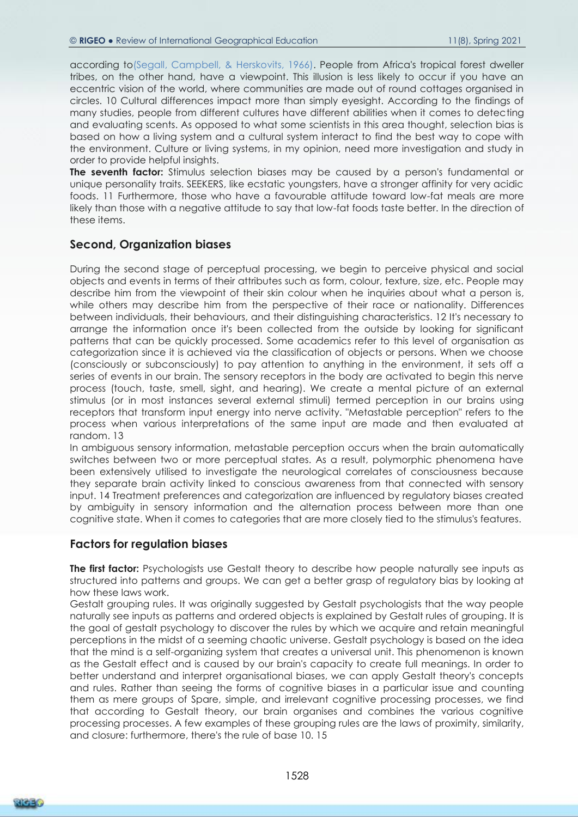according to(Segall, Campbell, & Herskovits, 1966). People from Africa's tropical forest dweller tribes, on the other hand, have a viewpoint. This illusion is less likely to occur if you have an eccentric vision of the world, where communities are made out of round cottages organised in circles. 10 Cultural differences impact more than simply eyesight. According to the findings of many studies, people from different cultures have different abilities when it comes to detecting and evaluating scents. As opposed to what some scientists in this area thought, selection bias is based on how a living system and a cultural system interact to find the best way to cope with the environment. Culture or living systems, in my opinion, need more investigation and study in order to provide helpful insights.

**The seventh factor:** Stimulus selection biases may be caused by a person's fundamental or unique personality traits. SEEKERS, like ecstatic youngsters, have a stronger affinity for very acidic foods. 11 Furthermore, those who have a favourable attitude toward low-fat meals are more likely than those with a negative attitude to say that low-fat foods taste better. In the direction of these items.

#### **Second, Organization biases**

During the second stage of perceptual processing, we begin to perceive physical and social objects and events in terms of their attributes such as form, colour, texture, size, etc. People may describe him from the viewpoint of their skin colour when he inquiries about what a person is, while others may describe him from the perspective of their race or nationality. Differences between individuals, their behaviours, and their distinguishing characteristics. 12 It's necessary to arrange the information once it's been collected from the outside by looking for significant patterns that can be quickly processed. Some academics refer to this level of organisation as categorization since it is achieved via the classification of objects or persons. When we choose (consciously or subconsciously) to pay attention to anything in the environment, it sets off a series of events in our brain. The sensory receptors in the body are activated to begin this nerve process (touch, taste, smell, sight, and hearing). We create a mental picture of an external stimulus (or in most instances several external stimuli) termed perception in our brains using receptors that transform input energy into nerve activity. "Metastable perception" refers to the process when various interpretations of the same input are made and then evaluated at random. 13

In ambiguous sensory information, metastable perception occurs when the brain automatically switches between two or more perceptual states. As a result, polymorphic phenomena have been extensively utilised to investigate the neurological correlates of consciousness because they separate brain activity linked to conscious awareness from that connected with sensory input. 14 Treatment preferences and categorization are influenced by regulatory biases created by ambiguity in sensory information and the alternation process between more than one cognitive state. When it comes to categories that are more closely tied to the stimulus's features.

#### **Factors for regulation biases**

**The first factor:** Psychologists use Gestalt theory to describe how people naturally see inputs as structured into patterns and groups. We can get a better grasp of regulatory bias by looking at how these laws work.

Gestalt grouping rules. It was originally suggested by Gestalt psychologists that the way people naturally see inputs as patterns and ordered objects is explained by Gestalt rules of grouping. It is the goal of gestalt psychology to discover the rules by which we acquire and retain meaningful perceptions in the midst of a seeming chaotic universe. Gestalt psychology is based on the idea that the mind is a self-organizing system that creates a universal unit. This phenomenon is known as the Gestalt effect and is caused by our brain's capacity to create full meanings. In order to better understand and interpret organisational biases, we can apply Gestalt theory's concepts and rules. Rather than seeing the forms of cognitive biases in a particular issue and counting them as mere groups of Spare, simple, and irrelevant cognitive processing processes, we find that according to Gestalt theory, our brain organises and combines the various cognitive processing processes. A few examples of these grouping rules are the laws of proximity, similarity, and closure: furthermore, there's the rule of base 10. 15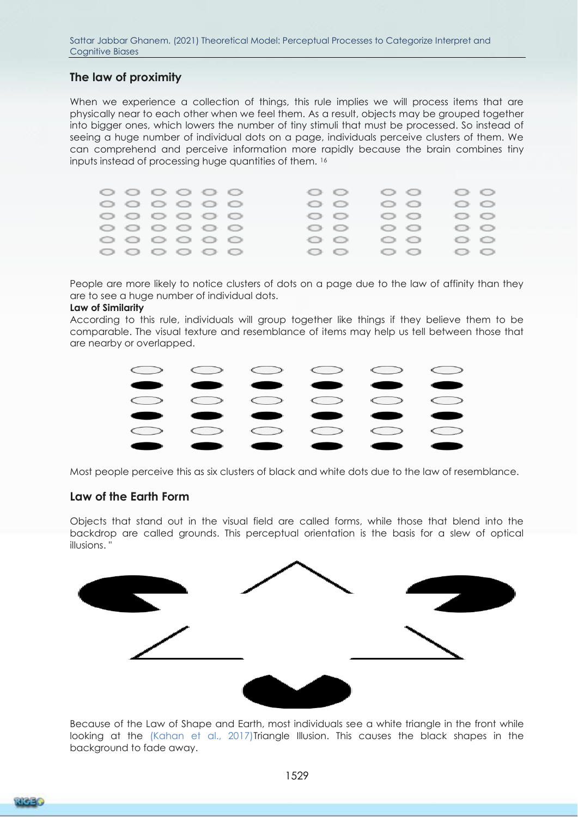# **The law of proximity**

When we experience a collection of things, this rule implies we will process items that are physically near to each other when we feel them. As a result, objects may be grouped together into bigger ones, which lowers the number of tiny stimuli that must be processed. So instead of seeing a huge number of individual dots on a page, individuals perceive clusters of them. We can comprehend and perceive information more rapidly because the brain combines tiny inputs instead of processing huge quantities of them. <sup>16</sup>

|  |  |                                  | G - O                                  |       | $\mathbb{C}$ $\mathbb{C}$ $\mathbb{C}$              | $\begin{array}{ccc} \langle & \rangle & \langle & \rangle \end{array}$ |  |
|--|--|----------------------------------|----------------------------------------|-------|-----------------------------------------------------|------------------------------------------------------------------------|--|
|  |  | $\circ\circ\circ\circ\circ\circ$ | - 0                                    |       | - 0                                                 | - 0                                                                    |  |
|  |  |                                  | O O                                    |       | GD - GD -                                           | $\begin{array}{ccc} \bullet & \bullet & \bullet & \bullet \end{array}$ |  |
|  |  |                                  | $\mathbb{C}$ $\mathbb{C}$ $\mathbb{C}$ |       | $\mathbb{C}$ $\mathbb{C}$ $\mathbb{C}$ $\mathbb{C}$ | $\mathbb{C}$ $\mathbb{C}$                                              |  |
|  |  |                                  | G - C -                                |       | $\mathbb{C}$ , $\mathbb{C}$ ,                       | $\bigcirc$ $\bigcirc$                                                  |  |
|  |  | 0000000                          |                                        | O O O | GREG 478-11                                         | - 100 - 100                                                            |  |

People are more likely to notice clusters of dots on a page due to the law of affinity than they are to see a huge number of individual dots.

#### **Law of Similarity**

According to this rule, individuals will group together like things if they believe them to be comparable. The visual texture and resemblance of items may help us tell between those that are nearby or overlapped.



Most people perceive this as six clusters of black and white dots due to the law of resemblance.

#### **Law of the Earth Form**

Objects that stand out in the visual field are called forms, while those that blend into the backdrop are called grounds. This perceptual orientation is the basis for a slew of optical illusions. "



Because of the Law of Shape and Earth, most individuals see a white triangle in the front while looking at the (Kahan et al., 2017)Triangle Illusion. This causes the black shapes in the background to fade away.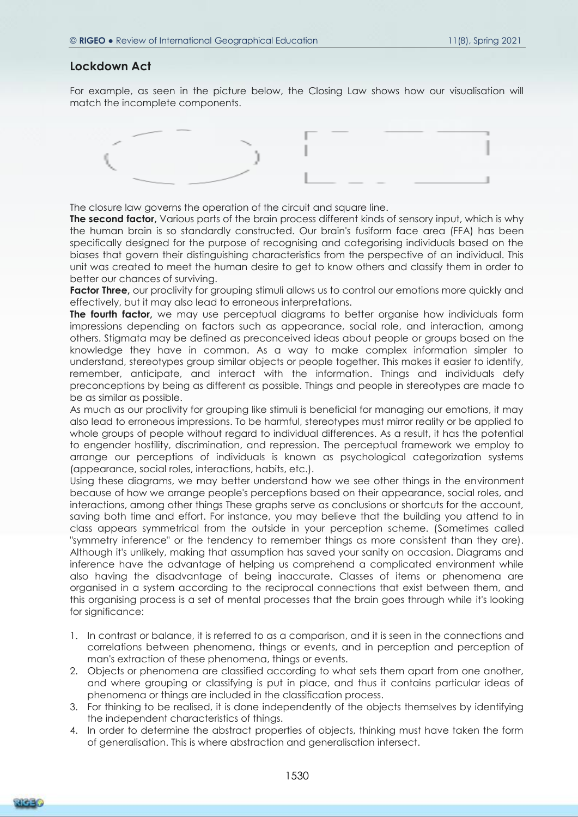#### **Lockdown Act**

For example, as seen in the picture below, the Closing Law shows how our visualisation will match the incomplete components.



The closure law governs the operation of the circuit and square line.

**The second factor,** Various parts of the brain process different kinds of sensory input, which is why the human brain is so standardly constructed. Our brain's fusiform face area (FFA) has been specifically designed for the purpose of recognising and categorising individuals based on the biases that govern their distinguishing characteristics from the perspective of an individual. This unit was created to meet the human desire to get to know others and classify them in order to better our chances of surviving.

**Factor Three,** our proclivity for grouping stimuli allows us to control our emotions more quickly and effectively, but it may also lead to erroneous interpretations.

**The fourth factor**, we may use perceptual diagrams to better organise how individuals form impressions depending on factors such as appearance, social role, and interaction, among others. Stigmata may be defined as preconceived ideas about people or groups based on the knowledge they have in common. As a way to make complex information simpler to understand, stereotypes group similar objects or people together. This makes it easier to identify, remember, anticipate, and interact with the information. Things and individuals defy preconceptions by being as different as possible. Things and people in stereotypes are made to be as similar as possible.

As much as our proclivity for grouping like stimuli is beneficial for managing our emotions, it may also lead to erroneous impressions. To be harmful, stereotypes must mirror reality or be applied to whole groups of people without regard to individual differences. As a result, it has the potential to engender hostility, discrimination, and repression. The perceptual framework we employ to arrange our perceptions of individuals is known as psychological categorization systems (appearance, social roles, interactions, habits, etc.).

Using these diagrams, we may better understand how we see other things in the environment because of how we arrange people's perceptions based on their appearance, social roles, and interactions, among other things These graphs serve as conclusions or shortcuts for the account, saving both time and effort. For instance, you may believe that the building you attend to in class appears symmetrical from the outside in your perception scheme. (Sometimes called "symmetry inference" or the tendency to remember things as more consistent than they are). Although it's unlikely, making that assumption has saved your sanity on occasion. Diagrams and inference have the advantage of helping us comprehend a complicated environment while also having the disadvantage of being inaccurate. Classes of items or phenomena are organised in a system according to the reciprocal connections that exist between them, and this organising process is a set of mental processes that the brain goes through while it's looking for significance:

- 1. In contrast or balance, it is referred to as a comparison, and it is seen in the connections and correlations between phenomena, things or events, and in perception and perception of man's extraction of these phenomena, things or events.
- 2. Objects or phenomena are classified according to what sets them apart from one another, and where grouping or classifying is put in place, and thus it contains particular ideas of phenomena or things are included in the classification process.
- 3. For thinking to be realised, it is done independently of the objects themselves by identifying the independent characteristics of things.
- 4. In order to determine the abstract properties of objects, thinking must have taken the form of generalisation. This is where abstraction and generalisation intersect.

**RIGE Y**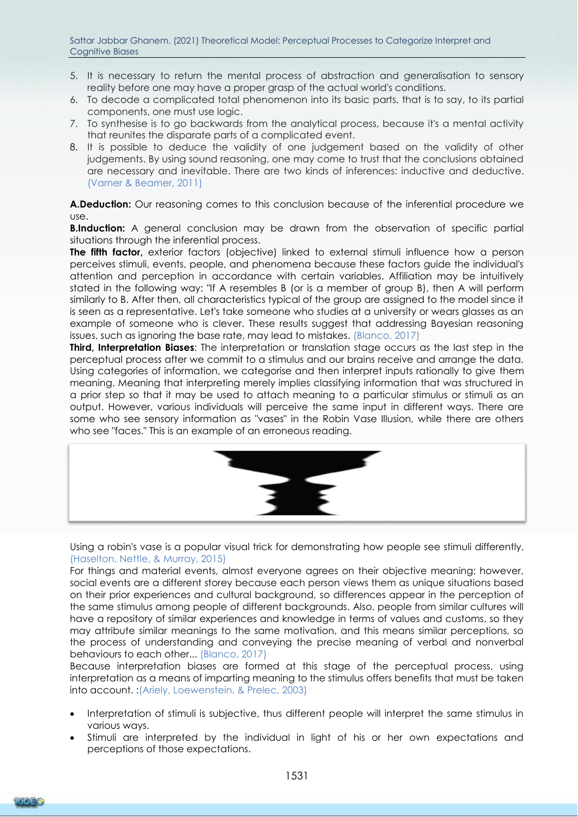- 5. It is necessary to return the mental process of abstraction and generalisation to sensory reality before one may have a proper grasp of the actual world's conditions.
- 6. To decode a complicated total phenomenon into its basic parts, that is to say, to its partial components, one must use logic.
- 7. To synthesise is to go backwards from the analytical process, because it's a mental activity that reunites the disparate parts of a complicated event.
- 8. It is possible to deduce the validity of one judgement based on the validity of other judgements. By using sound reasoning, one may come to trust that the conclusions obtained are necessary and inevitable. There are two kinds of inferences: inductive and deductive. (Varner & Beamer, 2011)

**A.Deduction:** Our reasoning comes to this conclusion because of the inferential procedure we use.

**B.Induction:** A general conclusion may be drawn from the observation of specific partial situations through the inferential process.

**The fifth factor,** exterior factors (objective) linked to external stimuli influence how a person perceives stimuli, events, people, and phenomena because these factors guide the individual's attention and perception in accordance with certain variables. Affiliation may be intuitively stated in the following way: "If A resembles B (or is a member of group B), then A will perform similarly to B. After then, all characteristics typical of the group are assigned to the model since it is seen as a representative. Let's take someone who studies at a university or wears glasses as an example of someone who is clever. These results suggest that addressing Bayesian reasoning issues, such as ignoring the base rate, may lead to mistakes. (Blanco, 2017)

**Third, Interpretation Biases**: The interpretation or translation stage occurs as the last step in the perceptual process after we commit to a stimulus and our brains receive and arrange the data. Using categories of information, we categorise and then interpret inputs rationally to give them meaning. Meaning that interpreting merely implies classifying information that was structured in a prior step so that it may be used to attach meaning to a particular stimulus or stimuli as an output. However, various individuals will perceive the same input in different ways. There are some who see sensory information as "vases" in the Robin Vase Illusion, while there are others who see "faces." This is an example of an erroneous reading.



Using a robin's vase is a popular visual trick for demonstrating how people see stimuli differently. (Haselton, Nettle, & Murray, 2015)

For things and material events, almost everyone agrees on their objective meaning; however, social events are a different storey because each person views them as unique situations based on their prior experiences and cultural background, so differences appear in the perception of the same stimulus among people of different backgrounds. Also, people from similar cultures will have a repository of similar experiences and knowledge in terms of values and customs, so they may attribute similar meanings to the same motivation, and this means similar perceptions, so the process of understanding and conveying the precise meaning of verbal and nonverbal behaviours to each other... (Blanco, 2017)

Because interpretation biases are formed at this stage of the perceptual process, using interpretation as a means of imparting meaning to the stimulus offers benefits that must be taken into account. :(Ariely, Loewenstein, & Prelec, 2003)

- Interpretation of stimuli is subjective, thus different people will interpret the same stimulus in various ways.
- Stimuli are interpreted by the individual in light of his or her own expectations and perceptions of those expectations.

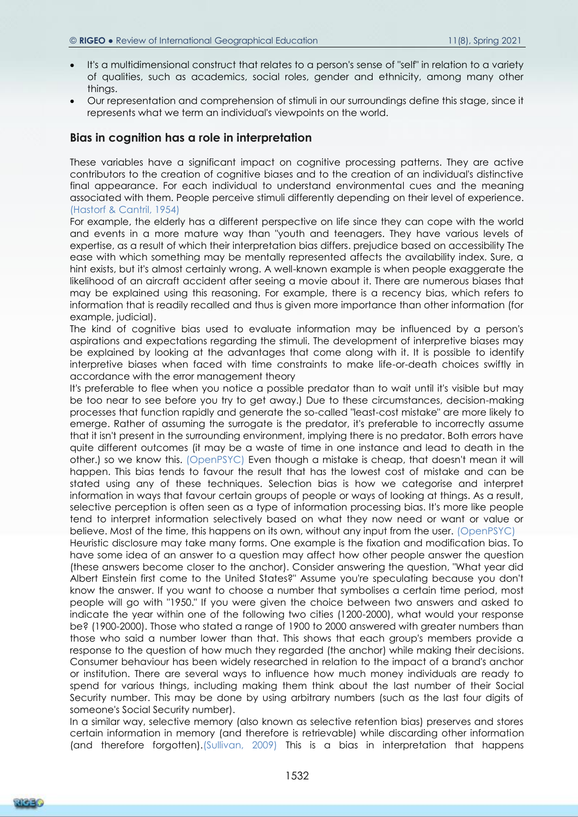- It's a multidimensional construct that relates to a person's sense of "self" in relation to a variety of qualities, such as academics, social roles, gender and ethnicity, among many other things.
- Our representation and comprehension of stimuli in our surroundings define this stage, since it represents what we term an individual's viewpoints on the world.

#### **Bias in cognition has a role in interpretation**

These variables have a significant impact on cognitive processing patterns. They are active contributors to the creation of cognitive biases and to the creation of an individual's distinctive final appearance. For each individual to understand environmental cues and the meaning associated with them. People perceive stimuli differently depending on their level of experience. (Hastorf & Cantril, 1954)

For example, the elderly has a different perspective on life since they can cope with the world and events in a more mature way than "youth and teenagers. They have various levels of expertise, as a result of which their interpretation bias differs. prejudice based on accessibility The ease with which something may be mentally represented affects the availability index. Sure, a hint exists, but it's almost certainly wrong. A well-known example is when people exaggerate the likelihood of an aircraft accident after seeing a movie about it. There are numerous biases that may be explained using this reasoning. For example, there is a recency bias, which refers to information that is readily recalled and thus is given more importance than other information (for example, judicial).

The kind of cognitive bias used to evaluate information may be influenced by a person's aspirations and expectations regarding the stimuli. The development of interpretive biases may be explained by looking at the advantages that come along with it. It is possible to identify interpretive biases when faced with time constraints to make life-or-death choices swiftly in accordance with the error management theory

It's preferable to flee when you notice a possible predator than to wait until it's visible but may be too near to see before you try to get away.) Due to these circumstances, decision-making processes that function rapidly and generate the so-called "least-cost mistake" are more likely to emerge. Rather of assuming the surrogate is the predator, it's preferable to incorrectly assume that it isn't present in the surrounding environment, implying there is no predator. Both errors have quite different outcomes (it may be a waste of time in one instance and lead to death in the other.) so we know this. (OpenPSYC) Even though a mistake is cheap, that doesn't mean it will happen. This bias tends to favour the result that has the lowest cost of mistake and can be stated using any of these techniques. Selection bias is how we categorise and interpret information in ways that favour certain groups of people or ways of looking at things. As a result, selective perception is often seen as a type of information processing bias. It's more like people tend to interpret information selectively based on what they now need or want or value or believe. Most of the time, this happens on its own, without any input from the user. (OpenPSYC) Heuristic disclosure may take many forms. One example is the fixation and modification bias. To have some idea of an answer to a question may affect how other people answer the question (these answers become closer to the anchor). Consider answering the question, "What year did Albert Einstein first come to the United States?" Assume you're speculating because you don't know the answer. If you want to choose a number that symbolises a certain time period, most people will go with "1950." If you were given the choice between two answers and asked to indicate the year within one of the following two cities (1200-2000), what would your response be? (1900-2000). Those who stated a range of 1900 to 2000 answered with greater numbers than those who said a number lower than that. This shows that each group's members provide a response to the question of how much they regarded (the anchor) while making their decisions. Consumer behaviour has been widely researched in relation to the impact of a brand's anchor or institution. There are several ways to influence how much money individuals are ready to spend for various things, including making them think about the last number of their Social Security number. This may be done by using arbitrary numbers (such as the last four digits of someone's Social Security number).

In a similar way, selective memory (also known as selective retention bias) preserves and stores certain information in memory (and therefore is retrievable) while discarding other information (and therefore forgotten).(Sullivan, 2009) This is a bias in interpretation that happens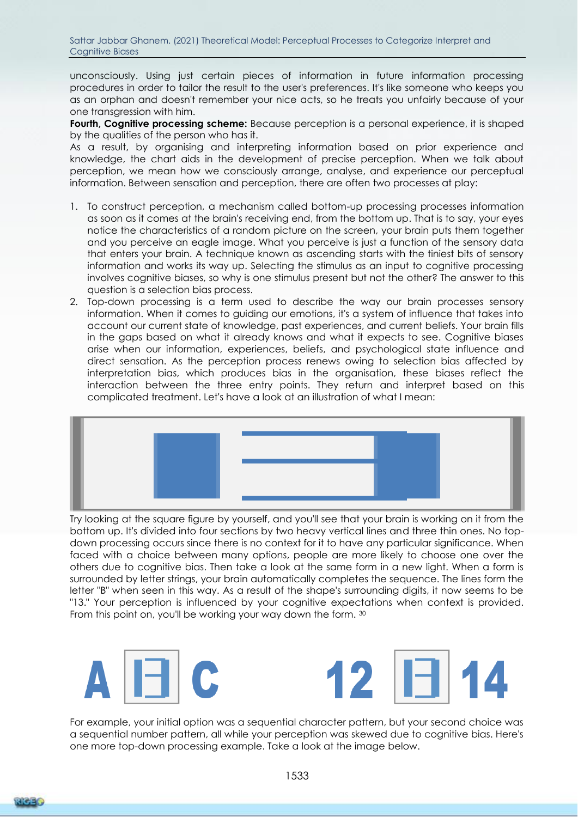unconsciously. Using just certain pieces of information in future information processing procedures in order to tailor the result to the user's preferences. It's like someone who keeps you as an orphan and doesn't remember your nice acts, so he treats you unfairly because of your one transgression with him.

**Fourth, Cognitive processing scheme:** Because perception is a personal experience, it is shaped by the qualities of the person who has it.

As a result, by organising and interpreting information based on prior experience and knowledge, the chart aids in the development of precise perception. When we talk about perception, we mean how we consciously arrange, analyse, and experience our perceptual information. Between sensation and perception, there are often two processes at play:

- 1. To construct perception, a mechanism called bottom-up processing processes information as soon as it comes at the brain's receiving end, from the bottom up. That is to say, your eyes notice the characteristics of a random picture on the screen, your brain puts them together and you perceive an eagle image. What you perceive is just a function of the sensory data that enters your brain. A technique known as ascending starts with the tiniest bits of sensory information and works its way up. Selecting the stimulus as an input to cognitive processing involves cognitive biases, so why is one stimulus present but not the other? The answer to this question is a selection bias process.
- 2. Top-down processing is a term used to describe the way our brain processes sensory information. When it comes to guiding our emotions, it's a system of influence that takes into account our current state of knowledge, past experiences, and current beliefs. Your brain fills in the gaps based on what it already knows and what it expects to see. Cognitive biases arise when our information, experiences, beliefs, and psychological state influence and direct sensation. As the perception process renews owing to selection bias affected by interpretation bias, which produces bias in the organisation, these biases reflect the interaction between the three entry points. They return and interpret based on this complicated treatment. Let's have a look at an illustration of what I mean:



Try looking at the square figure by yourself, and you'll see that your brain is working on it from the bottom up. It's divided into four sections by two heavy vertical lines and three thin ones. No topdown processing occurs since there is no context for it to have any particular significance. When faced with a choice between many options, people are more likely to choose one over the others due to cognitive bias. Then take a look at the same form in a new light. When a form is surrounded by letter strings, your brain automatically completes the sequence. The lines form the letter "B" when seen in this way. As a result of the shape's surrounding digits, it now seems to be "13." Your perception is influenced by your cognitive expectations when context is provided. From this point on, you'll be working your way down the form. 30



For example, your initial option was a sequential character pattern, but your second choice was a sequential number pattern, all while your perception was skewed due to cognitive bias. Here's one more top-down processing example. Take a look at the image below.

1533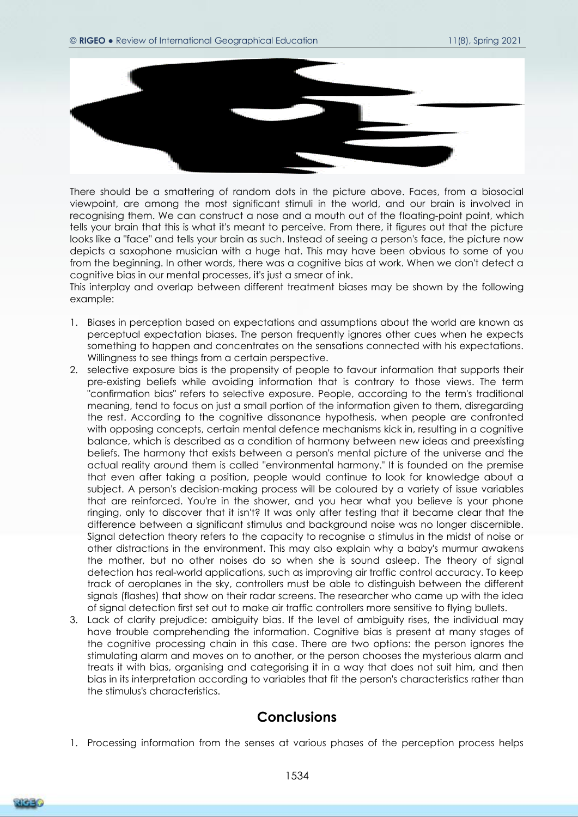

There should be a smattering of random dots in the picture above. Faces, from a biosocial viewpoint, are among the most significant stimuli in the world, and our brain is involved in recognising them. We can construct a nose and a mouth out of the floating-point point, which tells your brain that this is what it's meant to perceive. From there, it figures out that the picture looks like a "face" and tells your brain as such. Instead of seeing a person's face, the picture now depicts a saxophone musician with a huge hat. This may have been obvious to some of you from the beginning. In other words, there was a cognitive bias at work. When we don't detect a cognitive bias in our mental processes, it's just a smear of ink.

This interplay and overlap between different treatment biases may be shown by the following example:

- 1. Biases in perception based on expectations and assumptions about the world are known as perceptual expectation biases. The person frequently ignores other cues when he expects something to happen and concentrates on the sensations connected with his expectations. Willingness to see things from a certain perspective.
- 2. selective exposure bias is the propensity of people to favour information that supports their pre-existing beliefs while avoiding information that is contrary to those views. The term "confirmation bias" refers to selective exposure. People, according to the term's traditional meaning, tend to focus on just a small portion of the information given to them, disregarding the rest. According to the cognitive dissonance hypothesis, when people are confronted with opposing concepts, certain mental defence mechanisms kick in, resulting in a cognitive balance, which is described as a condition of harmony between new ideas and preexisting beliefs. The harmony that exists between a person's mental picture of the universe and the actual reality around them is called "environmental harmony." It is founded on the premise that even after taking a position, people would continue to look for knowledge about a subject. A person's decision-making process will be coloured by a variety of issue variables that are reinforced. You're in the shower, and you hear what you believe is your phone ringing, only to discover that it isn't? It was only after testing that it became clear that the difference between a significant stimulus and background noise was no longer discernible. Signal detection theory refers to the capacity to recognise a stimulus in the midst of noise or other distractions in the environment. This may also explain why a baby's murmur awakens the mother, but no other noises do so when she is sound asleep. The theory of signal detection has real-world applications, such as improving air traffic control accuracy. To keep track of aeroplanes in the sky, controllers must be able to distinguish between the different signals (flashes) that show on their radar screens. The researcher who came up with the idea of signal detection first set out to make air traffic controllers more sensitive to flying bullets.
- 3. Lack of clarity prejudice: ambiguity bias. If the level of ambiguity rises, the individual may have trouble comprehending the information. Cognitive bias is present at many stages of the cognitive processing chain in this case. There are two options: the person ignores the stimulating alarm and moves on to another, or the person chooses the mysterious alarm and treats it with bias, organising and categorising it in a way that does not suit him, and then bias in its interpretation according to variables that fit the person's characteristics rather than the stimulus's characteristics.

# **Conclusions**

1. Processing information from the senses at various phases of the perception process helps